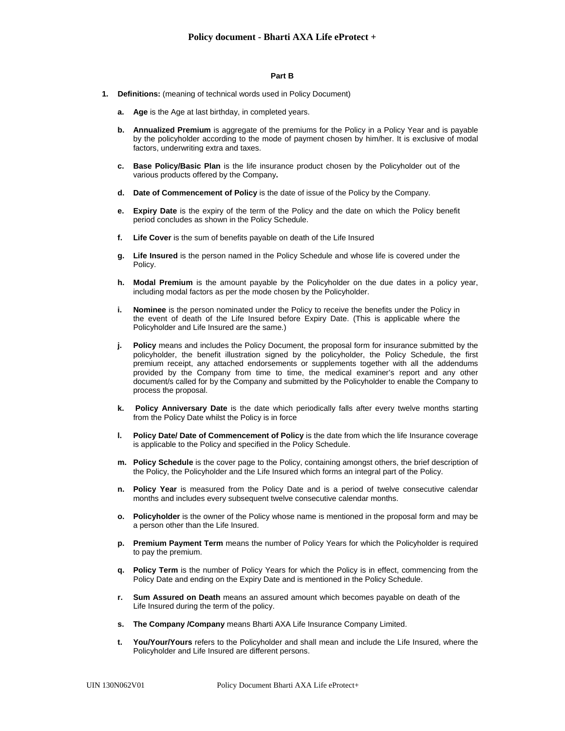## **Part B**

- **1. Definitions:** (meaning of technical words used in Policy Document)
	- **a. Age** is the Age at last birthday, in completed years.
	- **b. Annualized Premium** is aggregate of the premiums for the Policy in a Policy Year and is payable by the policyholder according to the mode of payment chosen by him/her. It is exclusive of modal factors, underwriting extra and taxes.
	- **c. Base Policy/Basic Plan** is the life insurance product chosen by the Policyholder out of the various products offered by the Company**.**
	- **d. Date of Commencement of Policy** is the date of issue of the Policy by the Company.
	- **e. Expiry Date** is the expiry of the term of the Policy and the date on which the Policy benefit period concludes as shown in the Policy Schedule.
	- **f. Life Cover** is the sum of benefits payable on death of the Life Insured
	- **g. Life Insured** is the person named in the Policy Schedule and whose life is covered under the Policy.
	- **h. Modal Premium** is the amount payable by the Policyholder on the due dates in a policy year, including modal factors as per the mode chosen by the Policyholder.
	- **i. Nominee** is the person nominated under the Policy to receive the benefits under the Policy in the event of death of the Life Insured before Expiry Date. (This is applicable where the Policyholder and Life Insured are the same.)
	- **j. Policy** means and includes the Policy Document, the proposal form for insurance submitted by the policyholder, the benefit illustration signed by the policyholder, the Policy Schedule, the first premium receipt, any attached endorsements or supplements together with all the addendums provided by the Company from time to time, the medical examiner's report and any other document/s called for by the Company and submitted by the Policyholder to enable the Company to process the proposal.
	- **k. Policy Anniversary Date** is the date which periodically falls after every twelve months starting from the Policy Date whilst the Policy is in force
	- **I.** Policy Date/ Date of Commencement of Policy is the date from which the life Insurance coverage is applicable to the Policy and specified in the Policy Schedule.
	- **m. Policy Schedule** is the cover page to the Policy, containing amongst others, the brief description of the Policy, the Policyholder and the Life Insured which forms an integral part of the Policy.
	- **n. Policy Year** is measured from the Policy Date and is a period of twelve consecutive calendar months and includes every subsequent twelve consecutive calendar months.
	- **o. Policyholder** is the owner of the Policy whose name is mentioned in the proposal form and may be a person other than the Life Insured.
	- **p. Premium Payment Term** means the number of Policy Years for which the Policyholder is required to pay the premium.
	- **q. Policy Term** is the number of Policy Years for which the Policy is in effect, commencing from the Policy Date and ending on the Expiry Date and is mentioned in the Policy Schedule.
	- **r. Sum Assured on Death** means an assured amount which becomes payable on death of the Life Insured during the term of the policy.
	- **s. The Company /Company** means Bharti AXA Life Insurance Company Limited.
	- **t. You/Your/Yours** refers to the Policyholder and shall mean and include the Life Insured, where the Policyholder and Life Insured are different persons.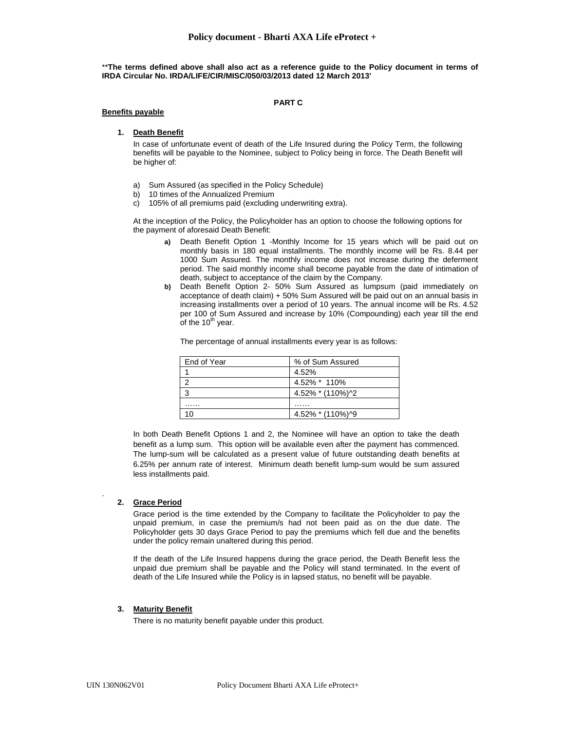\*\***The terms defined above shall also act as a reference guide to the Policy document in terms of IRDA Circular No. IRDA/LIFE/CIR/MISC/050/03/2013 dated 12 March 2013'**

## **PART C**

### **Benefits payable**

# **1. Death Benefit**

In case of unfortunate event of death of the Life Insured during the Policy Term, the following benefits will be payable to the Nominee, subject to Policy being in force. The Death Benefit will be higher of:

- a) Sum Assured (as specified in the Policy Schedule)
- b) 10 times of the Annualized Premium
- c) 105% of all premiums paid (excluding underwriting extra).

At the inception of the Policy, the Policyholder has an option to choose the following options for the payment of aforesaid Death Benefit:

- **a)** Death Benefit Option 1 -Monthly Income for 15 years which will be paid out on monthly basis in 180 equal installments. The monthly income will be Rs. 8.44 per 1000 Sum Assured. The monthly income does not increase during the deferment period. The said monthly income shall become payable from the date of intimation of death, subject to acceptance of the claim by the Company.
- **b)** Death Benefit Option 2- 50% Sum Assured as lumpsum (paid immediately on acceptance of death claim) + 50% Sum Assured will be paid out on an annual basis in increasing installments over a period of 10 years. The annual income will be Rs. 4.52 per 100 of Sum Assured and increase by 10% (Compounding) each year till the end of the 10<sup>th</sup> year.

The percentage of annual installments every year is as follows:

| End of Year | % of Sum Assured |
|-------------|------------------|
|             | 4.52%            |
|             | 4.52% * 110%     |
|             | 4.52% * (110%)^2 |
| .           | .                |
| 10          | 4.52% * (110%)^9 |
|             |                  |

In both Death Benefit Options 1 and 2, the Nominee will have an option to take the death benefit as a lump sum. This option will be available even after the payment has commenced. The lump-sum will be calculated as a present value of future outstanding death benefits at 6.25% per annum rate of interest. Minimum death benefit lump-sum would be sum assured less installments paid.

## **2. Grace Period**

.

Grace period is the time extended by the Company to facilitate the Policyholder to pay the unpaid premium, in case the premium/s had not been paid as on the due date. The Policyholder gets 30 days Grace Period to pay the premiums which fell due and the benefits under the policy remain unaltered during this period.

If the death of the Life Insured happens during the grace period, the Death Benefit less the unpaid due premium shall be payable and the Policy will stand terminated. In the event of death of the Life Insured while the Policy is in lapsed status, no benefit will be payable.

## **3. Maturity Benefit**

There is no maturity benefit payable under this product.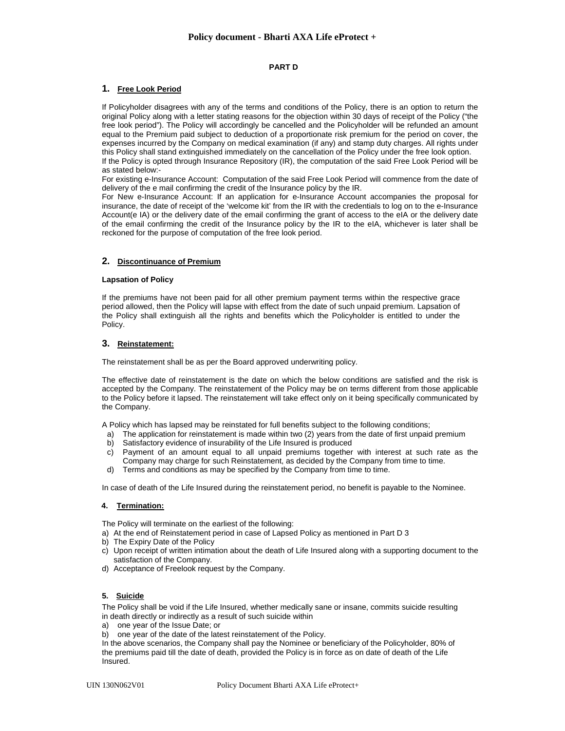## **PART D**

# **1. Free Look Period**

If Policyholder disagrees with any of the terms and conditions of the Policy, there is an option to return the original Policy along with a letter stating reasons for the objection within 30 days of receipt of the Policy ("the free look period"). The Policy will accordingly be cancelled and the Policyholder will be refunded an amount equal to the Premium paid subject to deduction of a proportionate risk premium for the period on cover, the expenses incurred by the Company on medical examination (if any) and stamp duty charges. All rights under this Policy shall stand extinguished immediately on the cancellation of the Policy under the free look option. If the Policy is opted through Insurance Repository (IR), the computation of the said Free Look Period will be as stated below:-

For existing e-Insurance Account: Computation of the said Free Look Period will commence from the date of delivery of the e mail confirming the credit of the Insurance policy by the IR.

For New e-Insurance Account: If an application for e-Insurance Account accompanies the proposal for insurance, the date of receipt of the 'welcome kit' from the IR with the credentials to log on to the e-Insurance Account(e IA) or the delivery date of the email confirming the grant of access to the eIA or the delivery date of the email confirming the credit of the Insurance policy by the IR to the eIA, whichever is later shall be reckoned for the purpose of computation of the free look period.

## **2. Discontinuance of Premium**

## **Lapsation of Policy**

If the premiums have not been paid for all other premium payment terms within the respective grace period allowed, then the Policy will lapse with effect from the date of such unpaid premium. Lapsation of the Policy shall extinguish all the rights and benefits which the Policyholder is entitled to under the Policy.

## **3. Reinstatement:**

The reinstatement shall be as per the Board approved underwriting policy.

The effective date of reinstatement is the date on which the below conditions are satisfied and the risk is accepted by the Company. The reinstatement of the Policy may be on terms different from those applicable to the Policy before it lapsed. The reinstatement will take effect only on it being specifically communicated by the Company.

A Policy which has lapsed may be reinstated for full benefits subject to the following conditions;

- a) The application for reinstatement is made within two (2) years from the date of first unpaid premium
- b) Satisfactory evidence of insurability of the Life Insured is produced
- c) Payment of an amount equal to all unpaid premiums together with interest at such rate as the Company may charge for such Reinstatement, as decided by the Company from time to time.
- d) Terms and conditions as may be specified by the Company from time to time.

In case of death of the Life Insured during the reinstatement period, no benefit is payable to the Nominee.

## **4. Termination:**

The Policy will terminate on the earliest of the following:

- a) At the end of Reinstatement period in case of Lapsed Policy as mentioned in Part D 3
- b) The Expiry Date of the Policy
- c) Upon receipt of written intimation about the death of Life Insured along with a supporting document to the satisfaction of the Company.
- d) Acceptance of Freelook request by the Company.

## **5. Suicide**

The Policy shall be void if the Life Insured, whether medically sane or insane, commits suicide resulting in death directly or indirectly as a result of such suicide within

- a) one year of the Issue Date; or
- b) one year of the date of the latest reinstatement of the Policy.

In the above scenarios, the Company shall pay the Nominee or beneficiary of the Policyholder, 80% of the premiums paid till the date of death, provided the Policy is in force as on date of death of the Life Insured.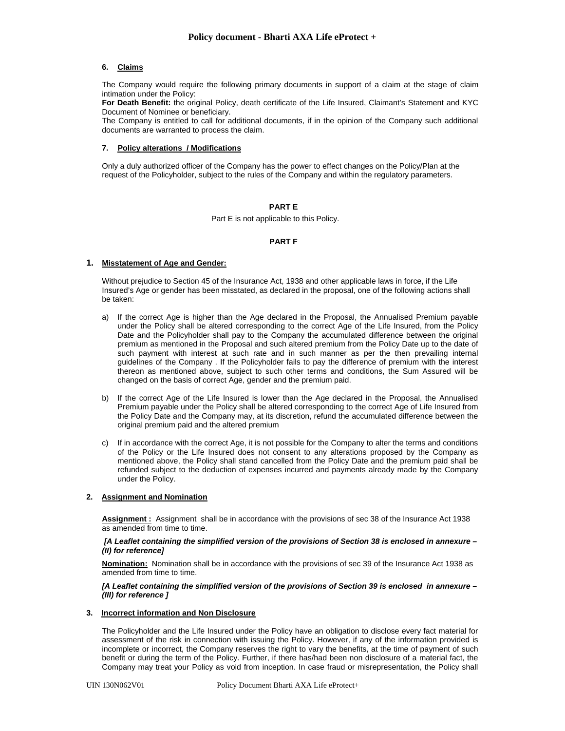## **6. Claims**

The Company would require the following primary documents in support of a claim at the stage of claim intimation under the Policy:

**For Death Benefit:** the original Policy, death certificate of the Life Insured, Claimant's Statement and KYC Document of Nominee or beneficiary.

The Company is entitled to call for additional documents, if in the opinion of the Company such additional documents are warranted to process the claim.

## **7. Policy alterations / Modifications**

Only a duly authorized officer of the Company has the power to effect changes on the Policy/Plan at the request of the Policyholder, subject to the rules of the Company and within the regulatory parameters.

## **PART E**

Part E is not applicable to this Policy.

#### **PART F**

## **1. Misstatement of Age and Gender:**

Without prejudice to Section 45 of the Insurance Act, 1938 and other applicable laws in force, if the Life Insured's Age or gender has been misstated, as declared in the proposal, one of the following actions shall be taken:

- a) If the correct Age is higher than the Age declared in the Proposal, the Annualised Premium payable under the Policy shall be altered corresponding to the correct Age of the Life Insured, from the Policy Date and the Policyholder shall pay to the Company the accumulated difference between the original premium as mentioned in the Proposal and such altered premium from the Policy Date up to the date of such payment with interest at such rate and in such manner as per the then prevailing internal guidelines of the Company . If the Policyholder fails to pay the difference of premium with the interest thereon as mentioned above, subject to such other terms and conditions, the Sum Assured will be changed on the basis of correct Age, gender and the premium paid.
- b) If the correct Age of the Life Insured is lower than the Age declared in the Proposal, the Annualised Premium payable under the Policy shall be altered corresponding to the correct Age of Life Insured from the Policy Date and the Company may, at its discretion, refund the accumulated difference between the original premium paid and the altered premium
- c) If in accordance with the correct Age, it is not possible for the Company to alter the terms and conditions of the Policy or the Life Insured does not consent to any alterations proposed by the Company as mentioned above, the Policy shall stand cancelled from the Policy Date and the premium paid shall be refunded subject to the deduction of expenses incurred and payments already made by the Company under the Policy.

## **2. Assignment and Nomination**

**Assignment :** Assignment shall be in accordance with the provisions of sec 38 of the Insurance Act 1938 as amended from time to time.

#### *[A Leaflet containing the simplified version of the provisions of Section 38 is enclosed in annexure – (II) for reference]*

**Nomination:** Nomination shall be in accordance with the provisions of sec 39 of the Insurance Act 1938 as amended from time to time.

#### *[A Leaflet containing the simplified version of the provisions of Section 39 is enclosed in annexure – (III) for reference ]*

## **3. Incorrect information and Non Disclosure**

The Policyholder and the Life Insured under the Policy have an obligation to disclose every fact material for assessment of the risk in connection with issuing the Policy. However, if any of the information provided is incomplete or incorrect, the Company reserves the right to vary the benefits, at the time of payment of such benefit or during the term of the Policy. Further, if there has/had been non disclosure of a material fact, the Company may treat your Policy as void from inception. In case fraud or misrepresentation, the Policy shall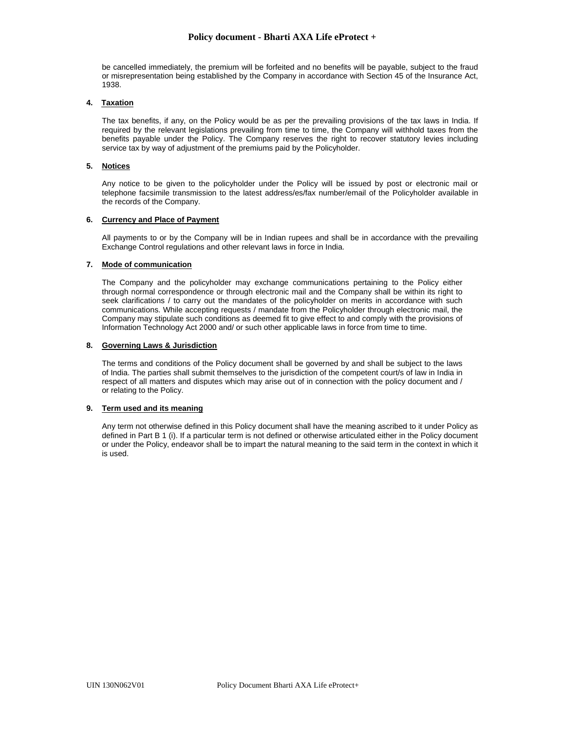# **Policy document - Bharti AXA Life eProtect +**

be cancelled immediately, the premium will be forfeited and no benefits will be payable, subject to the fraud or misrepresentation being established by the Company in accordance with Section 45 of the Insurance Act, 1938.

## **4. Taxation**

The tax benefits, if any, on the Policy would be as per the prevailing provisions of the tax laws in India. If required by the relevant legislations prevailing from time to time, the Company will withhold taxes from the benefits payable under the Policy. The Company reserves the right to recover statutory levies including service tax by way of adjustment of the premiums paid by the Policyholder.

# **5. Notices**

Any notice to be given to the policyholder under the Policy will be issued by post or electronic mail or telephone facsimile transmission to the latest address/es/fax number/email of the Policyholder available in the records of the Company.

## **6. Currency and Place of Payment**

All payments to or by the Company will be in Indian rupees and shall be in accordance with the prevailing Exchange Control regulations and other relevant laws in force in India.

# **7. Mode of communication**

The Company and the policyholder may exchange communications pertaining to the Policy either through normal correspondence or through electronic mail and the Company shall be within its right to seek clarifications / to carry out the mandates of the policyholder on merits in accordance with such communications. While accepting requests / mandate from the Policyholder through electronic mail, the Company may stipulate such conditions as deemed fit to give effect to and comply with the provisions of Information Technology Act 2000 and/ or such other applicable laws in force from time to time.

# **8. Governing Laws & Jurisdiction**

The terms and conditions of the Policy document shall be governed by and shall be subject to the laws of India. The parties shall submit themselves to the jurisdiction of the competent court/s of law in India in respect of all matters and disputes which may arise out of in connection with the policy document and / or relating to the Policy.

# **9. Term used and its meaning**

Any term not otherwise defined in this Policy document shall have the meaning ascribed to it under Policy as defined in Part B 1 (i). If a particular term is not defined or otherwise articulated either in the Policy document or under the Policy, endeavor shall be to impart the natural meaning to the said term in the context in which it is used.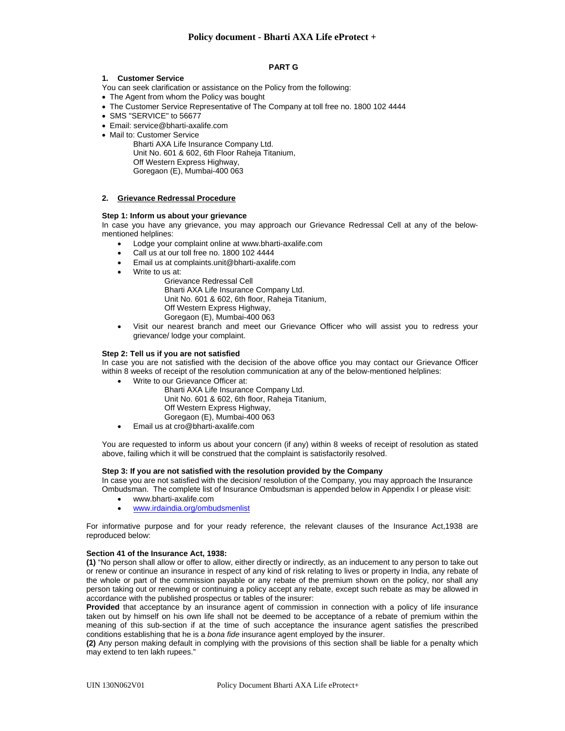# **Policy document - Bharti AXA Life eProtect +**

## **PART G**

## **1. Customer Service**

- You can seek clarification or assistance on the Policy from the following:
- The Agent from whom the Policy was bought
- The Customer Service Representative of The Company at toll free no. 1800 102 4444
- SMS "SERVICE" to 56677
- Email: service@bharti-axalife.com
- Mail to: Customer Service

Bharti AXA Life Insurance Company Ltd. Unit No. 601 & 602, 6th Floor Raheja Titanium, Off Western Express Highway, Goregaon (E), Mumbai-400 063

## **2. Grievance Redressal Procedure**

## **Step 1: Inform us about your grievance**

In case you have any grievance, you may approach our Grievance Redressal Cell at any of the belowmentioned helplines:

- Lodge your complaint online at www.bharti-axalife.com
- Call us at our toll free no. 1800 102 4444
- Email us at complaints.unit@bharti-axalife.com
- Write to us at:
	- Grievance Redressal Cell Bharti AXA Life Insurance Company Ltd. Unit No. 601 & 602, 6th floor, Raheja Titanium, Off Western Express Highway, Goregaon (E), Mumbai-400 063
- Visit our nearest branch and meet our Grievance Officer who will assist you to redress your grievance/ lodge your complaint.

#### **Step 2: Tell us if you are not satisfied**

In case you are not satisfied with the decision of the above office you may contact our Grievance Officer within 8 weeks of receipt of the resolution communication at any of the below-mentioned helplines:

- Write to our Grievance Officer at:
	- Bharti AXA Life Insurance Company Ltd. Unit No. 601 & 602, 6th floor, Raheja Titanium, Off Western Express Highway, Goregaon (E), Mumbai-400 063
- Email us at cro@bharti-axalife.com

You are requested to inform us about your concern (if any) within 8 weeks of receipt of resolution as stated above, failing which it will be construed that the complaint is satisfactorily resolved.

# **Step 3: If you are not satisfied with the resolution provided by the Company**

In case you are not satisfied with the decision/ resolution of the Company, you may approach the Insurance Ombudsman. The complete list of Insurance Ombudsman is appended below in Appendix I or please visit:

- www.bharti-axalife.com
- www.irdaindia.org/ombudsmenlist

For informative purpose and for your ready reference, the relevant clauses of the Insurance Act,1938 are reproduced below:

## **Section 41 of the Insurance Act, 1938:**

**(1)** "No person shall allow or offer to allow, either directly or indirectly, as an inducement to any person to take out or renew or continue an insurance in respect of any kind of risk relating to lives or property in India, any rebate of the whole or part of the commission payable or any rebate of the premium shown on the policy, nor shall any person taking out or renewing or continuing a policy accept any rebate, except such rebate as may be allowed in accordance with the published prospectus or tables of the insurer:

**Provided** that acceptance by an insurance agent of commission in connection with a policy of life insurance taken out by himself on his own life shall not be deemed to be acceptance of a rebate of premium within the meaning of this sub-section if at the time of such acceptance the insurance agent satisfies the prescribed conditions establishing that he is a *bona fide* insurance agent employed by the insurer.

**(2)** Any person making default in complying with the provisions of this section shall be liable for a penalty which may extend to ten lakh rupees."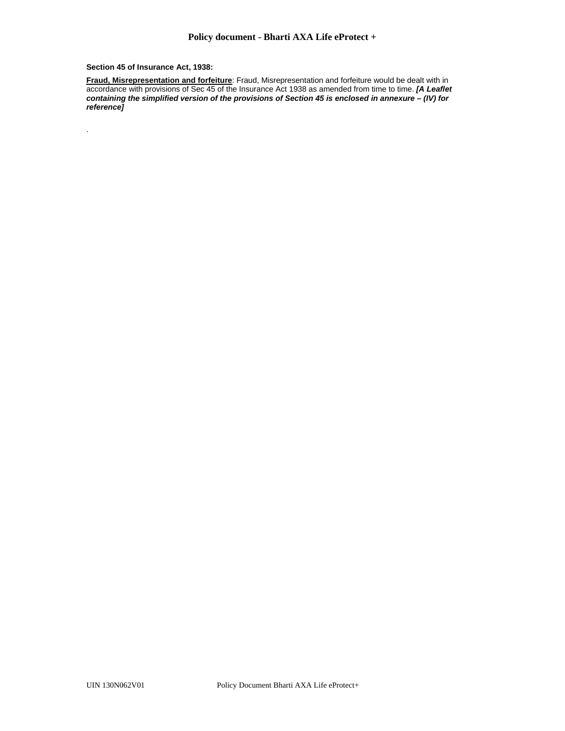**Section 45 of Insurance Act, 1938:** 

.

**Fraud, Misrepresentation and forfeiture**: Fraud, Misrepresentation and forfeiture would be dealt with in accordance with provisions of Sec 45 of the Insurance Act 1938 as amended from time to time. *[A Leaflet containing the simplified version of the provisions of Section 45 is enclosed in annexure – (IV) for reference]*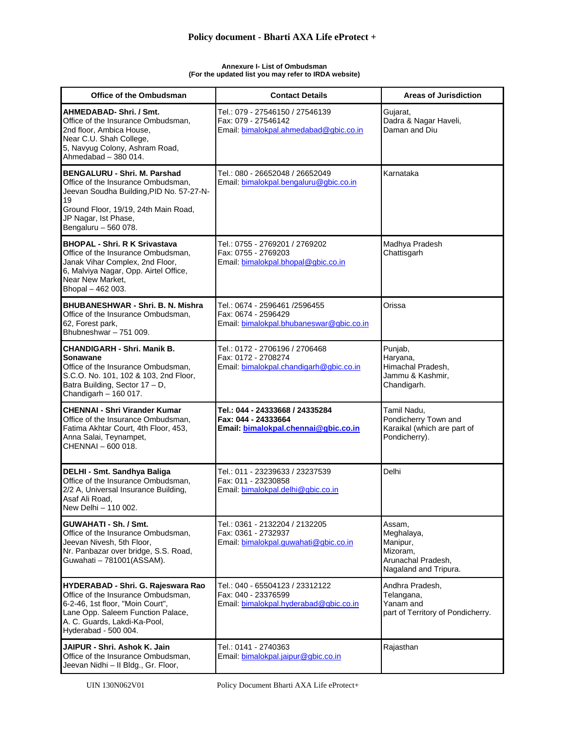#### **Annexure I- List of Ombudsman (For the updated list you may refer to IRDA website)**

| Office of the Ombudsman                                                                                                                                                                                             | <b>Contact Details</b>                                                                           | <b>Areas of Jurisdiction</b>                                                                |
|---------------------------------------------------------------------------------------------------------------------------------------------------------------------------------------------------------------------|--------------------------------------------------------------------------------------------------|---------------------------------------------------------------------------------------------|
| AHMEDABAD- Shri. / Smt.<br>Office of the Insurance Ombudsman,<br>2nd floor, Ambica House,<br>Near C.U. Shah College,<br>5, Navyug Colony, Ashram Road,<br>Ahmedabad - 380 014.                                      | Tel.: 079 - 27546150 / 27546139<br>Fax: 079 - 27546142<br>Email: bimalokpal.ahmedabad@gbic.co.in | Gujarat,<br>Dadra & Nagar Haveli,<br>Daman and Diu                                          |
| <b>BENGALURU - Shri. M. Parshad</b><br>Office of the Insurance Ombudsman.<br>Jeevan Soudha Building, PID No. 57-27-N-<br>19<br>Ground Floor, 19/19, 24th Main Road,<br>JP Nagar, Ist Phase,<br>Bengaluru - 560 078. | Tel.: 080 - 26652048 / 26652049<br>Email: bimalokpal.bengaluru@gbic.co.in                        | Karnataka                                                                                   |
| <b>BHOPAL - Shri. R K Srivastava</b><br>Office of the Insurance Ombudsman,<br>Janak Vihar Complex, 2nd Floor,<br>6, Malviya Nagar, Opp. Airtel Office,<br>Near New Market,<br>Bhopal - 462 003.                     | Tel.: 0755 - 2769201 / 2769202<br>Fax: 0755 - 2769203<br>Email: bimalokpal.bhopal@gbic.co.in     | Madhya Pradesh<br>Chattisgarh                                                               |
| <b>BHUBANESHWAR - Shri, B. N. Mishra</b><br>Office of the Insurance Ombudsman,<br>62, Forest park,<br>Bhubneshwar - 751 009.                                                                                        | Tel.: 0674 - 2596461 /2596455<br>Fax: 0674 - 2596429<br>Email: bimalokpal.bhubaneswar@gbic.co.in | Orissa                                                                                      |
| <b>CHANDIGARH - Shri. Manik B.</b><br>Sonawane<br>Office of the Insurance Ombudsman,<br>S.C.O. No. 101, 102 & 103, 2nd Floor,<br>Batra Building, Sector 17 - D,<br>Chandigarh - 160 017.                            | Tel.: 0172 - 2706196 / 2706468<br>Fax: 0172 - 2708274<br>Email: bimalokpal.chandigarh@gbic.co.in | Punjab,<br>Haryana,<br>Himachal Pradesh,<br>Jammu & Kashmir,<br>Chandigarh.                 |
| <b>CHENNAI - Shri Virander Kumar</b><br>Office of the Insurance Ombudsman,<br>Fatima Akhtar Court, 4th Floor, 453,<br>Anna Salai, Teynampet,<br>CHENNAI - 600 018.                                                  | Tel.: 044 - 24333668 / 24335284<br>Fax: 044 - 24333664<br>Email: bimalokpal.chennai@gbic.co.in   | Tamil Nadu,<br>Pondicherry Town and<br>Karaikal (which are part of<br>Pondicherry).         |
| DELHI - Smt. Sandhya Baliga<br>Office of the Insurance Ombudsman,<br>2/2 A, Universal Insurance Building,<br>Asaf Ali Road,<br>New Delhi - 110 002.                                                                 | Tel.: 011 - 23239633 / 23237539<br>Fax: 011 - 23230858<br>Email: bimalokpal.delhi@gbic.co.in     | Delhi                                                                                       |
| GUWAHATI - Sh. / Smt.<br>Office of the Insurance Ombudsman,<br>Jeevan Nivesh, 5th Floor,<br>Nr. Panbazar over bridge, S.S. Road,<br>Guwahati - 781001(ASSAM).                                                       | Tel.: 0361 - 2132204 / 2132205<br>Fax: 0361 - 2732937<br>Email: bimalokpal.guwahati@gbic.co.in   | Assam,<br>Meghalaya,<br>Manipur,<br>Mizoram,<br>Arunachal Pradesh,<br>Nagaland and Tripura. |
| <b>HYDERABAD - Shri. G. Rajeswara Rao</b><br>Office of the Insurance Ombudsman,<br>6-2-46, 1st floor, "Moin Court",<br>Lane Opp. Saleem Function Palace,<br>A. C. Guards, Lakdi-Ka-Pool,<br>Hyderabad - 500 004.    | Tel.: 040 - 65504123 / 23312122<br>Fax: 040 - 23376599<br>Email: bimalokpal.hyderabad@gbic.co.in | Andhra Pradesh,<br>Telangana,<br>Yanam and<br>part of Territory of Pondicherry.             |
| JAIPUR - Shri, Ashok K, Jain<br>Office of the Insurance Ombudsman,<br>Jeevan Nidhi - Il Bldg., Gr. Floor,                                                                                                           | Tel.: 0141 - 2740363<br>Email: bimalokpal.jaipur@gbic.co.in                                      | Rajasthan                                                                                   |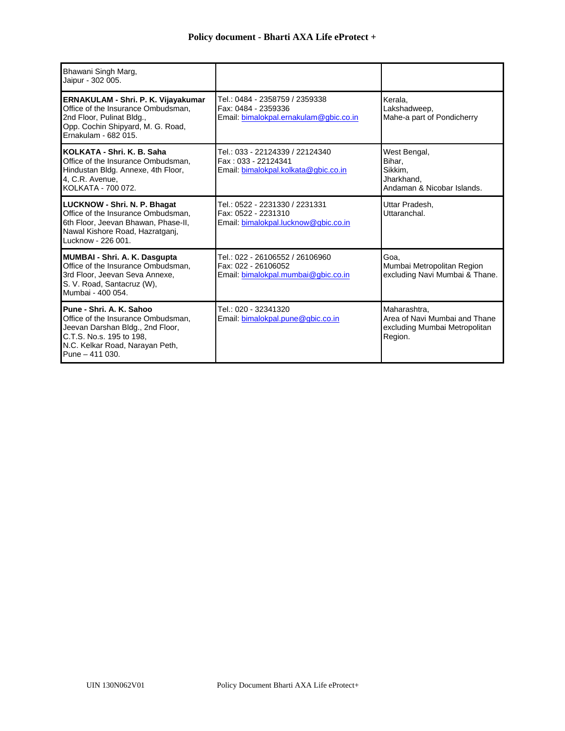| Bhawani Singh Marg,<br>Jaipur - 302 005.                                                                                                                                              |                                                                                                 |                                                                                           |
|---------------------------------------------------------------------------------------------------------------------------------------------------------------------------------------|-------------------------------------------------------------------------------------------------|-------------------------------------------------------------------------------------------|
| ERNAKULAM - Shri. P. K. Vijayakumar<br>Office of the Insurance Ombudsman.<br>2nd Floor, Pulinat Bldg.,<br>Opp. Cochin Shipyard, M. G. Road,<br>Ernakulam - 682 015.                   | Tel.: 0484 - 2358759 / 2359338<br>Fax: 0484 - 2359336<br>Email: bimalokpal.ernakulam@gbic.co.in | Kerala.<br>Lakshadweep,<br>Mahe-a part of Pondicherry                                     |
| KOLKATA - Shri, K. B. Saha<br>Office of the Insurance Ombudsman.<br>Hindustan Bldg. Annexe, 4th Floor,<br>4, C.R. Avenue,<br>KOLKATA - 700 072.                                       | Tel.: 033 - 22124339 / 22124340<br>Fax: 033 - 22124341<br>Email: bimalokpal.kolkata@gbic.co.in  | West Bengal,<br>Bihar,<br>Sikkim,<br>Jharkhand,<br>Andaman & Nicobar Islands.             |
| <b>LUCKNOW - Shri. N. P. Bhagat</b><br>Office of the Insurance Ombudsman,<br>6th Floor, Jeevan Bhawan, Phase-II,<br>Nawal Kishore Road, Hazratganj,<br>Lucknow - 226 001.             | Tel.: 0522 - 2231330 / 2231331<br>Fax: 0522 - 2231310<br>Email: bimalokpal.lucknow@gbic.co.in   | Uttar Pradesh.<br>Uttaranchal.                                                            |
| <b>MUMBAI - Shri. A. K. Dasgupta</b><br>Office of the Insurance Ombudsman.<br>3rd Floor, Jeevan Seva Annexe,<br>S. V. Road, Santacruz (W),<br>Mumbai - 400 054.                       | Tel.: 022 - 26106552 / 26106960<br>Fax: 022 - 26106052<br>Email: bimalokpal.mumbai@gbic.co.in   | Goa,<br>Mumbai Metropolitan Region<br>excluding Navi Mumbai & Thane.                      |
| Pune - Shri, A. K. Sahoo<br>Office of the Insurance Ombudsman,<br>Jeevan Darshan Bldg., 2nd Floor,<br>C.T.S. No.s. 195 to 198.<br>N.C. Kelkar Road, Narayan Peth,<br>Pune $-411$ 030. | Tel.: 020 - 32341320<br>Email: bimalokpal.pune@gbic.co.in                                       | Maharashtra,<br>Area of Navi Mumbai and Thane<br>excluding Mumbai Metropolitan<br>Region. |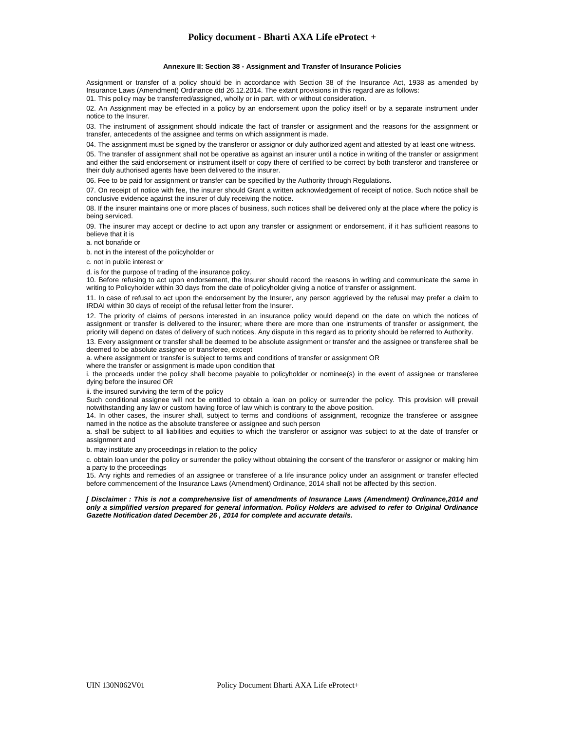#### **Annexure II: Section 38 - Assignment and Transfer of Insurance Policies**

Assignment or transfer of a policy should be in accordance with Section 38 of the Insurance Act, 1938 as amended by Insurance Laws (Amendment) Ordinance dtd 26.12.2014. The extant provisions in this regard are as follows:

01. This policy may be transferred/assigned, wholly or in part, with or without consideration.

02. An Assignment may be effected in a policy by an endorsement upon the policy itself or by a separate instrument under notice to the Insurer.

03. The instrument of assignment should indicate the fact of transfer or assignment and the reasons for the assignment or transfer, antecedents of the assignee and terms on which assignment is made.

04. The assignment must be signed by the transferor or assignor or duly authorized agent and attested by at least one witness.

05. The transfer of assignment shall not be operative as against an insurer until a notice in writing of the transfer or assignment and either the said endorsement or instrument itself or copy there of certified to be correct by both transferor and transferee or their duly authorised agents have been delivered to the insurer.

06. Fee to be paid for assignment or transfer can be specified by the Authority through Regulations.

07. On receipt of notice with fee, the insurer should Grant a written acknowledgement of receipt of notice. Such notice shall be conclusive evidence against the insurer of duly receiving the notice.

08. If the insurer maintains one or more places of business, such notices shall be delivered only at the place where the policy is being serviced.

09. The insurer may accept or decline to act upon any transfer or assignment or endorsement, if it has sufficient reasons to believe that it is

a. not bonafide or

b. not in the interest of the policyholder or

c. not in public interest or

d. is for the purpose of trading of the insurance policy.

10. Before refusing to act upon endorsement, the Insurer should record the reasons in writing and communicate the same in writing to Policyholder within 30 days from the date of policyholder giving a notice of transfer or assignment.

11. In case of refusal to act upon the endorsement by the Insurer, any person aggrieved by the refusal may prefer a claim to IRDAI within 30 days of receipt of the refusal letter from the Insurer.

12. The priority of claims of persons interested in an insurance policy would depend on the date on which the notices of assignment or transfer is delivered to the insurer; where there are more than one instruments of transfer or assignment, the priority will depend on dates of delivery of such notices. Any dispute in this regard as to priority should be referred to Authority.

13. Every assignment or transfer shall be deemed to be absolute assignment or transfer and the assignee or transferee shall be deemed to be absolute assignee or transferee, except

a. where assignment or transfer is subject to terms and conditions of transfer or assignment OR

where the transfer or assignment is made upon condition that

i. the proceeds under the policy shall become payable to policyholder or nominee(s) in the event of assignee or transferee dying before the insured OR

ii. the insured surviving the term of the policy

Such conditional assignee will not be entitled to obtain a loan on policy or surrender the policy. This provision will prevail notwithstanding any law or custom having force of law which is contrary to the above position.

14. In other cases, the insurer shall, subject to terms and conditions of assignment, recognize the transferee or assignee named in the notice as the absolute transferee or assignee and such person

a. shall be subject to all liabilities and equities to which the transferor or assignor was subject to at the date of transfer or assignment and

b. may institute any proceedings in relation to the policy

c. obtain loan under the policy or surrender the policy without obtaining the consent of the transferor or assignor or making him a party to the proceedings

15. Any rights and remedies of an assignee or transferee of a life insurance policy under an assignment or transfer effected before commencement of the Insurance Laws (Amendment) Ordinance, 2014 shall not be affected by this section.

*[ Disclaimer : This is not a comprehensive list of amendments of Insurance Laws (Amendment) Ordinance,2014 and only a simplified version prepared for general information. Policy Holders are advised to refer to Original Ordinance Gazette Notification dated December 26 , 2014 for complete and accurate details.*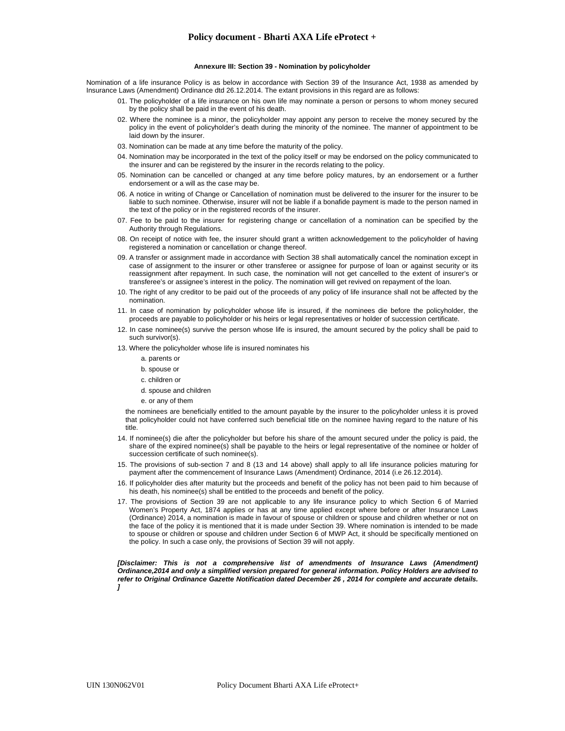#### **Annexure III: Section 39 - Nomination by policyholder**

Nomination of a life insurance Policy is as below in accordance with Section 39 of the Insurance Act, 1938 as amended by Insurance Laws (Amendment) Ordinance dtd 26.12.2014. The extant provisions in this regard are as follows:

- 01. The policyholder of a life insurance on his own life may nominate a person or persons to whom money secured by the policy shall be paid in the event of his death.
- 02. Where the nominee is a minor, the policyholder may appoint any person to receive the money secured by the policy in the event of policyholder's death during the minority of the nominee. The manner of appointment to be laid down by the insurer.
- 03. Nomination can be made at any time before the maturity of the policy.
- 04. Nomination may be incorporated in the text of the policy itself or may be endorsed on the policy communicated to the insurer and can be registered by the insurer in the records relating to the policy.
- 05. Nomination can be cancelled or changed at any time before policy matures, by an endorsement or a further endorsement or a will as the case may be.
- 06. A notice in writing of Change or Cancellation of nomination must be delivered to the insurer for the insurer to be liable to such nominee. Otherwise, insurer will not be liable if a bonafide payment is made to the person named in the text of the policy or in the registered records of the insurer.
- 07. Fee to be paid to the insurer for registering change or cancellation of a nomination can be specified by the Authority through Regulations.
- 08. On receipt of notice with fee, the insurer should grant a written acknowledgement to the policyholder of having registered a nomination or cancellation or change thereof.
- 09. A transfer or assignment made in accordance with Section 38 shall automatically cancel the nomination except in case of assignment to the insurer or other transferee or assignee for purpose of loan or against security or its reassignment after repayment. In such case, the nomination will not get cancelled to the extent of insurer's or transferee's or assignee's interest in the policy. The nomination will get revived on repayment of the loan.
- 10. The right of any creditor to be paid out of the proceeds of any policy of life insurance shall not be affected by the nomination.
- 11. In case of nomination by policyholder whose life is insured, if the nominees die before the policyholder, the proceeds are payable to policyholder or his heirs or legal representatives or holder of succession certificate.
- 12. In case nominee(s) survive the person whose life is insured, the amount secured by the policy shall be paid to such survivor(s).
- 13. Where the policyholder whose life is insured nominates his
	- a. parents or
	- b. spouse or
	- c. children or
	- d. spouse and children
	- e. or any of them

the nominees are beneficially entitled to the amount payable by the insurer to the policyholder unless it is proved that policyholder could not have conferred such beneficial title on the nominee having regard to the nature of his title.

- 14. If nominee(s) die after the policyholder but before his share of the amount secured under the policy is paid, the share of the expired nominee(s) shall be payable to the heirs or legal representative of the nominee or holder of succession certificate of such nominee(s).
- 15. The provisions of sub-section 7 and 8 (13 and 14 above) shall apply to all life insurance policies maturing for payment after the commencement of Insurance Laws (Amendment) Ordinance, 2014 (i.e 26.12.2014).
- 16. If policyholder dies after maturity but the proceeds and benefit of the policy has not been paid to him because of his death, his nominee(s) shall be entitled to the proceeds and benefit of the policy.
- 17. The provisions of Section 39 are not applicable to any life insurance policy to which Section 6 of Married Women's Property Act, 1874 applies or has at any time applied except where before or after Insurance Laws (Ordinance) 2014, a nomination is made in favour of spouse or children or spouse and children whether or not on the face of the policy it is mentioned that it is made under Section 39. Where nomination is intended to be made to spouse or children or spouse and children under Section 6 of MWP Act, it should be specifically mentioned on the policy. In such a case only, the provisions of Section 39 will not apply.

*[Disclaimer: This is not a comprehensive list of amendments of Insurance Laws (Amendment) Ordinance,2014 and only a simplified version prepared for general information. Policy Holders are advised to refer to Original Ordinance Gazette Notification dated December 26 , 2014 for complete and accurate details. ]*